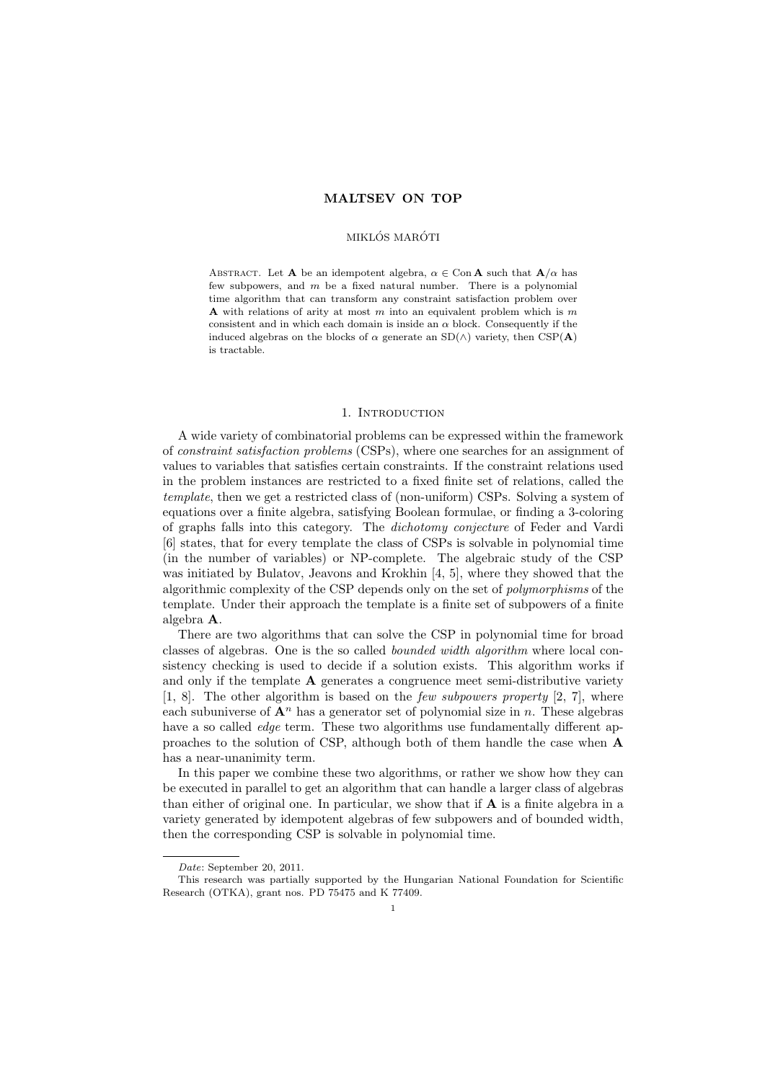# MALTSEV ON TOP

#### MIKLÓS MARÓTI

ABSTRACT. Let **A** be an idempotent algebra,  $\alpha \in \text{Con } \mathbf{A}$  such that  $\mathbf{A}/\alpha$  has few subpowers, and  $m$  be a fixed natural number. There is a polynomial time algorithm that can transform any constraint satisfaction problem over **A** with relations of arity at most m into an equivalent problem which is m consistent and in which each domain is inside an  $\alpha$  block. Consequently if the induced algebras on the blocks of  $\alpha$  generate an SD( $\wedge$ ) variety, then CSP( $\bf{A}$ ) is tractable.

## 1. INTRODUCTION

A wide variety of combinatorial problems can be expressed within the framework of constraint satisfaction problems (CSPs), where one searches for an assignment of values to variables that satisfies certain constraints. If the constraint relations used in the problem instances are restricted to a fixed finite set of relations, called the template, then we get a restricted class of (non-uniform) CSPs. Solving a system of equations over a finite algebra, satisfying Boolean formulae, or finding a 3-coloring of graphs falls into this category. The dichotomy conjecture of Feder and Vardi [6] states, that for every template the class of CSPs is solvable in polynomial time (in the number of variables) or NP-complete. The algebraic study of the CSP was initiated by Bulatov, Jeavons and Krokhin [4, 5], where they showed that the algorithmic complexity of the CSP depends only on the set of polymorphisms of the template. Under their approach the template is a finite set of subpowers of a finite algebra A.

There are two algorithms that can solve the CSP in polynomial time for broad classes of algebras. One is the so called bounded width algorithm where local consistency checking is used to decide if a solution exists. This algorithm works if and only if the template  $A$  generates a congruence meet semi-distributive variety  $[1, 8]$ . The other algorithm is based on the *few subpowers property*  $[2, 7]$ , where each subuniverse of  $\mathbf{A}^n$  has a generator set of polynomial size in n. These algebras have a so called *edge* term. These two algorithms use fundamentally different approaches to the solution of CSP, although both of them handle the case when A has a near-unanimity term.

In this paper we combine these two algorithms, or rather we show how they can be executed in parallel to get an algorithm that can handle a larger class of algebras than either of original one. In particular, we show that if  $A$  is a finite algebra in a variety generated by idempotent algebras of few subpowers and of bounded width, then the corresponding CSP is solvable in polynomial time.

Date: September 20, 2011.

This research was partially supported by the Hungarian National Foundation for Scientific Research (OTKA), grant nos. PD 75475 and K 77409.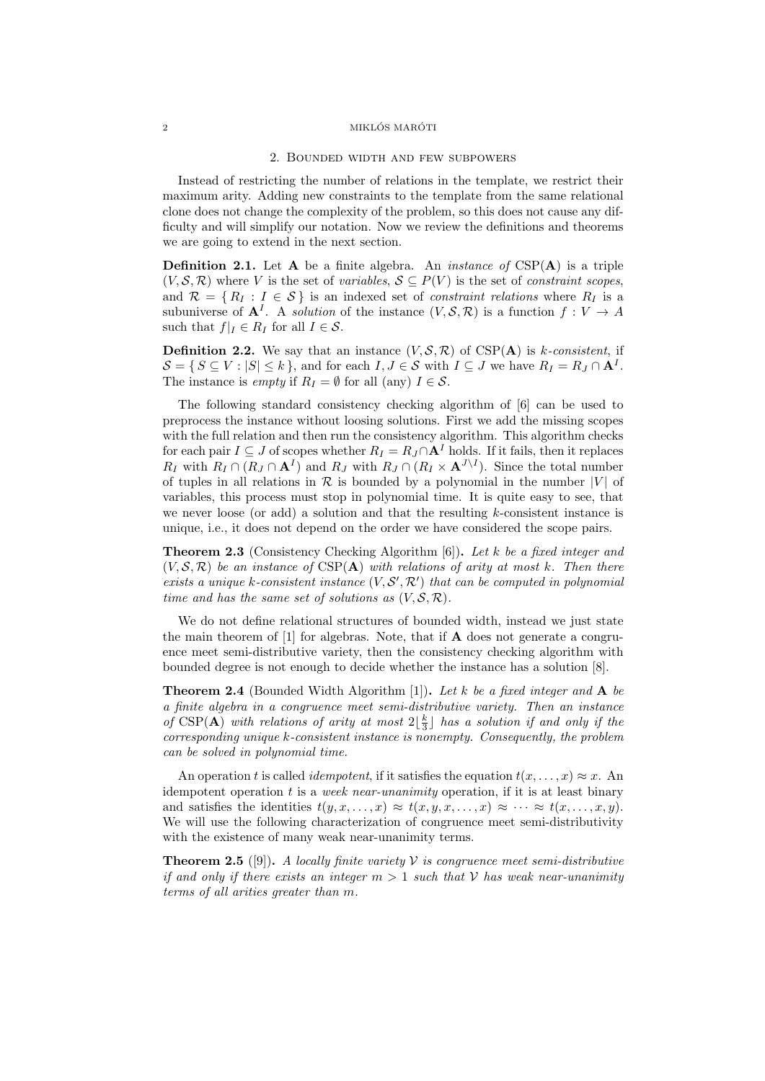### $\begin{array}{c}\text{MIKL}\acute{\text{O}}\text{S} \text{ MAR}\acute{\text{O}}\text{T} \end{array}$

#### 2. Bounded width and few subpowers

Instead of restricting the number of relations in the template, we restrict their maximum arity. Adding new constraints to the template from the same relational clone does not change the complexity of the problem, so this does not cause any difficulty and will simplify our notation. Now we review the definitions and theorems we are going to extend in the next section.

**Definition 2.1.** Let  $A$  be a finite algebra. An *instance of*  $CSP(A)$  is a triple  $(V, \mathcal{S}, \mathcal{R})$  where V is the set of variables,  $\mathcal{S} \subseteq P(V)$  is the set of constraint scopes, and  $\mathcal{R} = \{ R_I : I \in \mathcal{S} \}$  is an indexed set of *constraint relations* where  $R_I$  is a subuniverse of  $A^I$ . A solution of the instance  $(V, \mathcal{S}, \mathcal{R})$  is a function  $f: V \to A$ such that  $f|_I \in R_I$  for all  $I \in \mathcal{S}$ .

**Definition 2.2.** We say that an instance  $(V, \mathcal{S}, \mathcal{R})$  of CSP(A) is k-consistent, if  $\mathcal{S} = \{ S \subseteq V : |S| \le k \},\$ and for each  $I, J \in \mathcal{S}$  with  $I \subseteq J$  we have  $R_I = R_J \cap \mathbf{A}^I$ . The instance is *empty* if  $R_I = \emptyset$  for all (any)  $I \in \mathcal{S}$ .

The following standard consistency checking algorithm of [6] can be used to preprocess the instance without loosing solutions. First we add the missing scopes with the full relation and then run the consistency algorithm. This algorithm checks for each pair  $I \subseteq J$  of scopes whether  $R_I = R_J \cap A^I$  holds. If it fails, then it replaces  $R_I$  with  $R_I \cap (R_J \cap \mathbf{A}^I)$  and  $R_J$  with  $R_J \cap (R_I \times \mathbf{A}^{J \setminus I})$ . Since the total number of tuples in all relations in  $\mathcal R$  is bounded by a polynomial in the number |V| of variables, this process must stop in polynomial time. It is quite easy to see, that we never loose (or add) a solution and that the resulting  $k$ -consistent instance is unique, i.e., it does not depend on the order we have considered the scope pairs.

**Theorem 2.3** (Consistency Checking Algorithm [6]). Let k be a fixed integer and  $(V, \mathcal{S}, \mathcal{R})$  be an instance of CSP(A) with relations of arity at most k. Then there exists a unique k-consistent instance  $(V, S', \mathcal{R}')$  that can be computed in polynomial time and has the same set of solutions as  $(V, \mathcal{S}, \mathcal{R})$ .

We do not define relational structures of bounded width, instead we just state the main theorem of  $[1]$  for algebras. Note, that if  $A$  does not generate a congruence meet semi-distributive variety, then the consistency checking algorithm with bounded degree is not enough to decide whether the instance has a solution [8].

**Theorem 2.4** (Bounded Width Algorithm [1]). Let k be a fixed integer and  $\bf{A}$  be a finite algebra in a congruence meet semi-distributive variety. Then an instance of  $CSP(A)$  with relations of arity at most  $2\lfloor \frac{k}{3} \rfloor$  has a solution if and only if the corresponding unique k-consistent instance is nonempty. Consequently, the problem can be solved in polynomial time.

An operation t is called *idempotent*, if it satisfies the equation  $t(x, \ldots, x) \approx x$ . An idempotent operation  $t$  is a week near-unanimity operation, if it is at least binary and satisfies the identities  $t(y, x, \ldots, x) \approx t(x, y, x, \ldots, x) \approx \cdots \approx t(x, \ldots, x, y)$ . We will use the following characterization of congruence meet semi-distributivity with the existence of many weak near-unanimity terms.

**Theorem 2.5** ([9]). A locally finite variety  $V$  is congruence meet semi-distributive if and only if there exists an integer  $m > 1$  such that V has weak near-unanimity terms of all arities greater than m.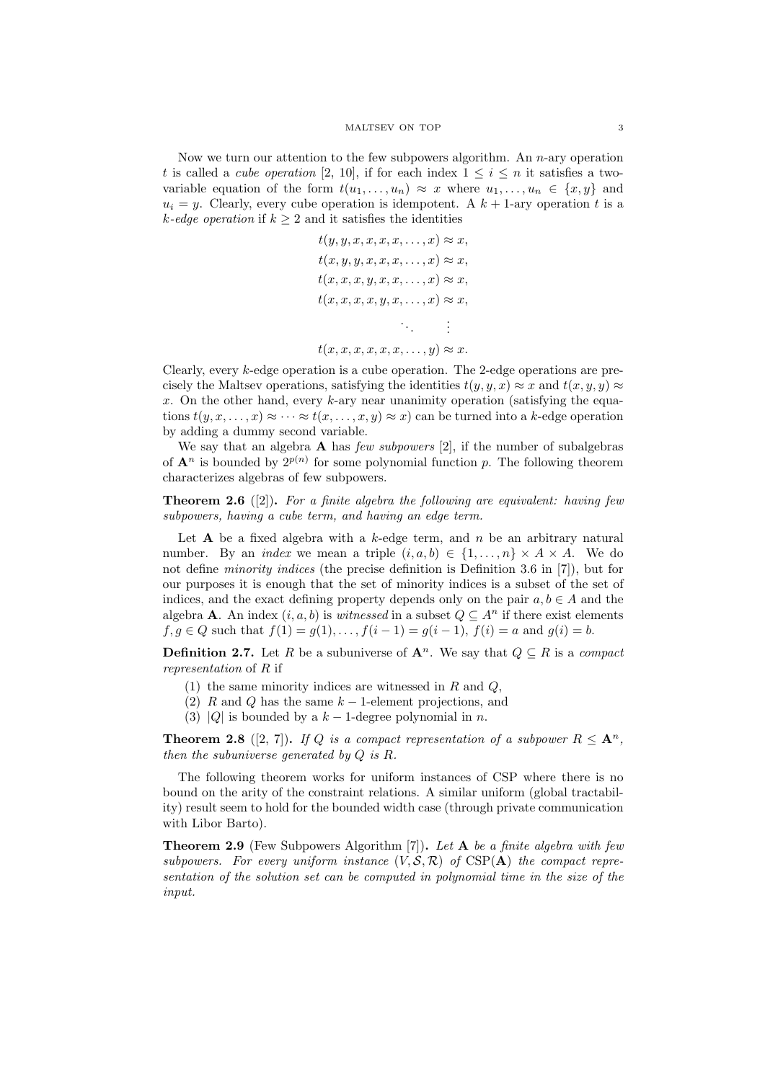Now we turn our attention to the few subpowers algorithm. An  $n$ -ary operation t is called a *cube operation* [2, 10], if for each index  $1 \leq i \leq n$  it satisfies a twovariable equation of the form  $t(u_1, \ldots, u_n) \approx x$  where  $u_1, \ldots, u_n \in \{x, y\}$  and  $u_i = y$ . Clearly, every cube operation is idempotent. A  $k + 1$ -ary operation t is a k-edge operation if  $k > 2$  and it satisfies the identities

$$
t(y, y, x, x, x, x, \dots, x) \approx x,
$$
  
\n
$$
t(x, y, y, x, x, x, \dots, x) \approx x,
$$
  
\n
$$
t(x, x, x, y, x, x, \dots, x) \approx x,
$$
  
\n
$$
t(x, x, x, x, y, x, \dots, x) \approx x,
$$
  
\n
$$
\vdots
$$
  
\n
$$
t(x, x, x, x, x, x, \dots, y) \approx x.
$$

Clearly, every k-edge operation is a cube operation. The 2-edge operations are precisely the Maltsev operations, satisfying the identities  $t(y, y, x) \approx x$  and  $t(x, y, y) \approx$  $x$ . On the other hand, every  $k$ -ary near unanimity operation (satisfying the equations  $t(y, x, \ldots, x) \approx \cdots \approx t(x, \ldots, x, y) \approx x$  can be turned into a k-edge operation by adding a dummy second variable.

We say that an algebra  $\bf{A}$  has *few subpowers* [2], if the number of subalgebras of  $\mathbf{A}^n$  is bounded by  $2^{p(n)}$  for some polynomial function p. The following theorem characterizes algebras of few subpowers.

**Theorem 2.6** ([2]). For a finite algebra the following are equivalent: having few subpowers, having a cube term, and having an edge term.

Let **A** be a fixed algebra with a  $k$ -edge term, and  $n$  be an arbitrary natural number. By an *index* we mean a triple  $(i, a, b) \in \{1, \ldots, n\} \times A \times A$ . We do not define minority indices (the precise definition is Definition 3.6 in [7]), but for our purposes it is enough that the set of minority indices is a subset of the set of indices, and the exact defining property depends only on the pair  $a, b \in A$  and the algebra **A**. An index  $(i, a, b)$  is *witnessed* in a subset  $Q \subseteq A^n$  if there exist elements  $f, g \in Q$  such that  $f(1) = g(1), \ldots, f(i-1) = g(i-1), f(i) = a$  and  $g(i) = b$ .

**Definition 2.7.** Let R be a subuniverse of  $A^n$ . We say that  $Q \subseteq R$  is a compact representation of R if

- (1) the same minority indices are witnessed in  $R$  and  $Q$ ,
- (2) R and Q has the same  $k-1$ -element projections, and
- (3) |Q| is bounded by a  $k-1$ -degree polynomial in n.

**Theorem 2.8** ([2, 7]). If Q is a compact representation of a subpower  $R \leq A^n$ , then the subuniverse generated by Q is R.

The following theorem works for uniform instances of CSP where there is no bound on the arity of the constraint relations. A similar uniform (global tractability) result seem to hold for the bounded width case (through private communication with Libor Barto).

**Theorem 2.9** (Few Subpowers Algorithm [7]). Let A be a finite algebra with few subpowers. For every uniform instance  $(V, \mathcal{S}, \mathcal{R})$  of CSP(A) the compact representation of the solution set can be computed in polynomial time in the size of the input.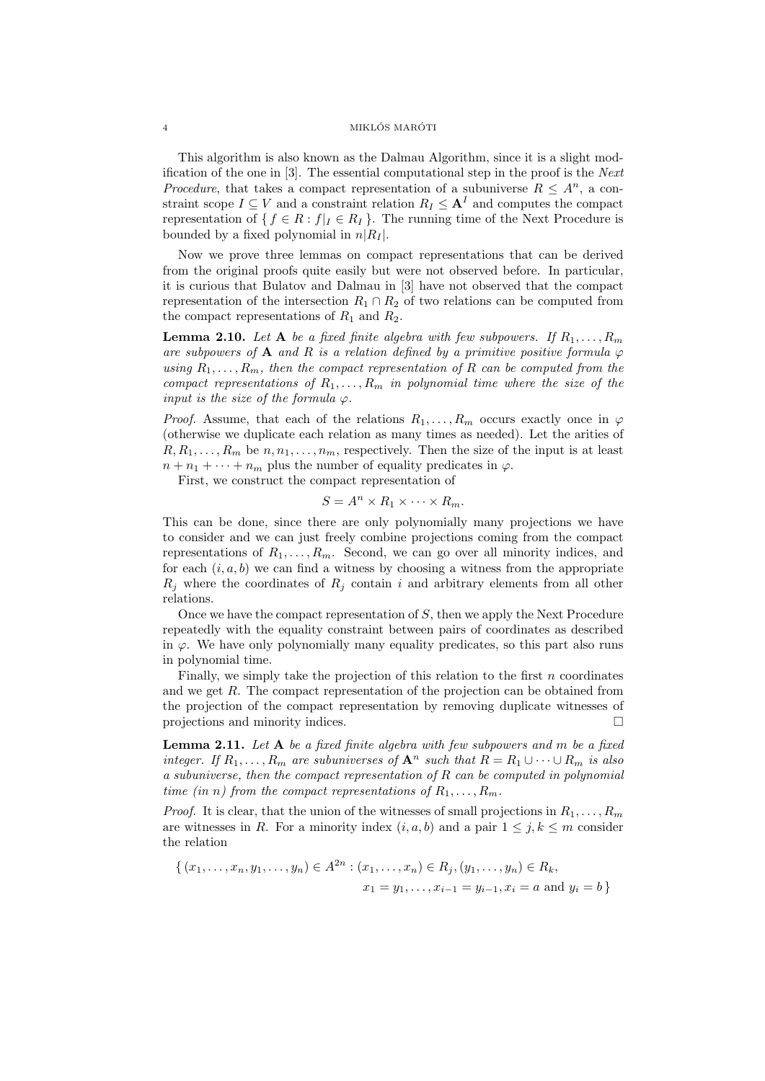## 4 MIKLÓS MARÓTI

This algorithm is also known as the Dalmau Algorithm, since it is a slight modification of the one in [3]. The essential computational step in the proof is the Next *Procedure*, that takes a compact representation of a subuniverse  $R \leq A^n$ , a constraint scope  $I \subseteq V$  and a constraint relation  $R_I \leq \mathbf{A}^I$  and computes the compact representation of  $\{ f \in R : f | I \in R_I \}$ . The running time of the Next Procedure is bounded by a fixed polynomial in  $n|R_I|$ .

Now we prove three lemmas on compact representations that can be derived from the original proofs quite easily but were not observed before. In particular, it is curious that Bulatov and Dalmau in [3] have not observed that the compact representation of the intersection  $R_1 \cap R_2$  of two relations can be computed from the compact representations of  $R_1$  and  $R_2$ .

**Lemma 2.10.** Let **A** be a fixed finite algebra with few subpowers. If  $R_1, \ldots, R_m$ are subpowers of A and R is a relation defined by a primitive positive formula  $\varphi$ using  $R_1, \ldots, R_m$ , then the compact representation of R can be computed from the compact representations of  $R_1, \ldots, R_m$  in polynomial time where the size of the input is the size of the formula  $\varphi$ .

*Proof.* Assume, that each of the relations  $R_1, \ldots, R_m$  occurs exactly once in  $\varphi$ (otherwise we duplicate each relation as many times as needed). Let the arities of  $R, R_1, \ldots, R_m$  be  $n, n_1, \ldots, n_m$ , respectively. Then the size of the input is at least  $n + n_1 + \cdots + n_m$  plus the number of equality predicates in  $\varphi$ .

First, we construct the compact representation of

$$
S = A^n \times R_1 \times \cdots \times R_m.
$$

This can be done, since there are only polynomially many projections we have to consider and we can just freely combine projections coming from the compact representations of  $R_1, \ldots, R_m$ . Second, we can go over all minority indices, and for each  $(i, a, b)$  we can find a witness by choosing a witness from the appropriate  $R_j$  where the coordinates of  $R_j$  contain i and arbitrary elements from all other relations.

Once we have the compact representation of S, then we apply the Next Procedure repeatedly with the equality constraint between pairs of coordinates as described in  $\varphi$ . We have only polynomially many equality predicates, so this part also runs in polynomial time.

Finally, we simply take the projection of this relation to the first  $n$  coordinates and we get R. The compact representation of the projection can be obtained from the projection of the compact representation by removing duplicate witnesses of projections and minority indices.

**Lemma 2.11.** Let  $A$  be a fixed finite algebra with few subpowers and  $m$  be a fixed integer. If  $R_1, \ldots, R_m$  are subuniverses of  $\mathbf{A}^n$  such that  $R = R_1 \cup \cdots \cup R_m$  is also a subuniverse, then the compact representation of R can be computed in polynomial time (in n) from the compact representations of  $R_1, \ldots, R_m$ .

*Proof.* It is clear, that the union of the witnesses of small projections in  $R_1, \ldots, R_m$ are witnesses in R. For a minority index  $(i, a, b)$  and a pair  $1 \leq j, k \leq m$  consider the relation

$$
\{(x_1, \ldots, x_n, y_1, \ldots, y_n) \in A^{2n} : (x_1, \ldots, x_n) \in R_j, (y_1, \ldots, y_n) \in R_k, \n x_1 = y_1, \ldots, x_{i-1} = y_{i-1}, x_i = a \text{ and } y_i = b \}
$$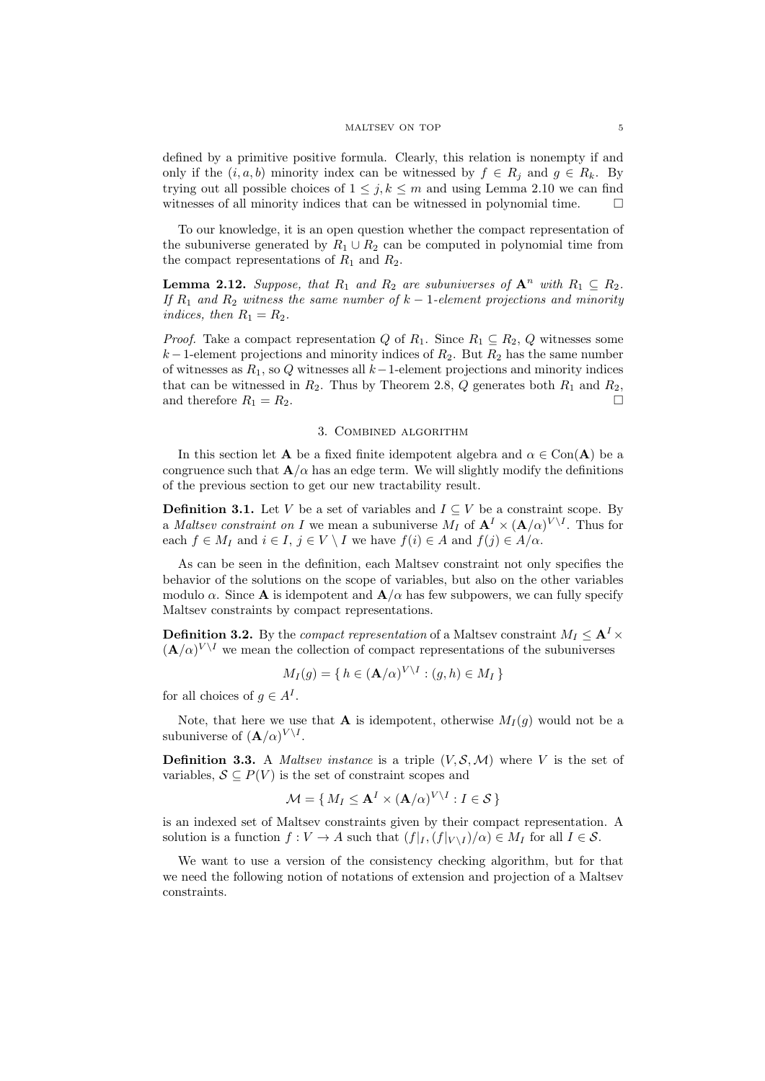defined by a primitive positive formula. Clearly, this relation is nonempty if and only if the  $(i, a, b)$  minority index can be witnessed by  $f \in R_i$  and  $g \in R_k$ . By trying out all possible choices of  $1 \leq j, k \leq m$  and using Lemma 2.10 we can find witnesses of all minority indices that can be witnessed in polynomial time.  $\Box$ 

To our knowledge, it is an open question whether the compact representation of the subuniverse generated by  $R_1 \cup R_2$  can be computed in polynomial time from the compact representations of  $R_1$  and  $R_2$ .

**Lemma 2.12.** Suppose, that  $R_1$  and  $R_2$  are subuniverses of  $\mathbf{A}^n$  with  $R_1 \subseteq R_2$ . If  $R_1$  and  $R_2$  witness the same number of  $k-1$ -element projections and minority indices, then  $R_1 = R_2$ .

*Proof.* Take a compact representation Q of  $R_1$ . Since  $R_1 \subseteq R_2$ , Q witnesses some  $k-1$ -element projections and minority indices of  $R_2$ . But  $R_2$  has the same number of witnesses as  $R_1$ , so Q witnesses all  $k-1$ -element projections and minority indices that can be witnessed in  $R_2$ . Thus by Theorem 2.8,  $Q$  generates both  $R_1$  and  $R_2$ , and therefore  $R_1 = R_2$ .

# 3. Combined algorithm

In this section let **A** be a fixed finite idempotent algebra and  $\alpha \in \text{Con}(\mathbf{A})$  be a congruence such that  $\mathbf{A}/\alpha$  has an edge term. We will slightly modify the definitions of the previous section to get our new tractability result.

**Definition 3.1.** Let V be a set of variables and  $I \subseteq V$  be a constraint scope. By a *Maltsev constraint on I* we mean a subuniverse  $M_I$  of  $\mathbf{A}^I \times (\mathbf{A}/\alpha)^{V \setminus I}$ . Thus for each  $f \in M_I$  and  $i \in I$ ,  $j \in V \setminus I$  we have  $f(i) \in A$  and  $f(j) \in A/\alpha$ .

As can be seen in the definition, each Maltsev constraint not only specifies the behavior of the solutions on the scope of variables, but also on the other variables modulo  $\alpha$ . Since **A** is idempotent and  $\mathbf{A}/\alpha$  has few subpowers, we can fully specify Maltsev constraints by compact representations.

**Definition 3.2.** By the *compact representation* of a Maltsev constraint  $M_I \leq \mathbf{A}^I \times$  $(\mathbf{A}/\alpha)^{V \setminus I}$  we mean the collection of compact representations of the subuniverses

$$
M_I(g) = \{ h \in (\mathbf{A}/\alpha)^{V \setminus I} : (g, h) \in M_I \}
$$

for all choices of  $g \in A<sup>I</sup>$ .

Note, that here we use that **A** is idempotent, otherwise  $M_I(g)$  would not be a subuniverse of  $(\mathbf{A}/\alpha)^{V \setminus I}$ .

**Definition 3.3.** A Maltsev instance is a triple  $(V, \mathcal{S}, \mathcal{M})$  where V is the set of variables,  $S \subseteq P(V)$  is the set of constraint scopes and

$$
\mathcal{M} = \{ M_I \leq \mathbf{A}^I \times (\mathbf{A}/\alpha)^{V \setminus I} : I \in \mathcal{S} \}
$$

is an indexed set of Maltsev constraints given by their compact representation. A solution is a function  $f: V \to A$  such that  $(f|_{I}, (f|_{V \setminus I})/\alpha) \in M_I$  for all  $I \in S$ .

We want to use a version of the consistency checking algorithm, but for that we need the following notion of notations of extension and projection of a Maltsev constraints.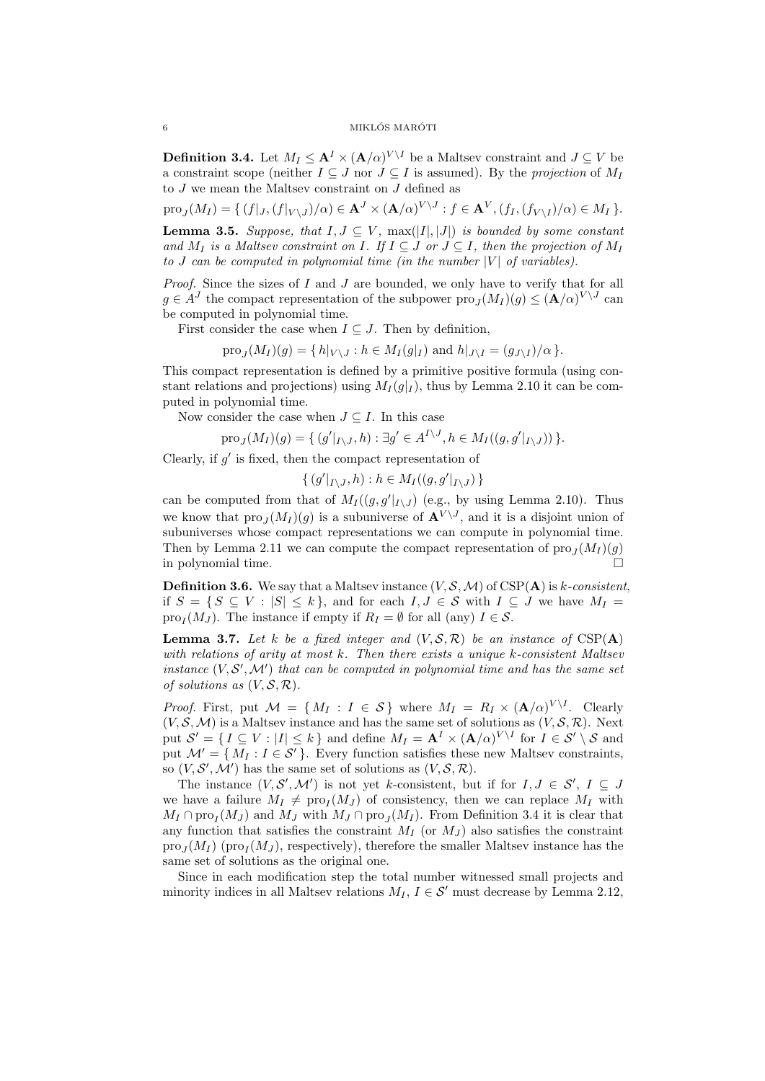## $\bullet$  MIKLÓS MARÓTI

**Definition 3.4.** Let  $M_I \leq \mathbf{A}^I \times (\mathbf{A}/\alpha)^{V \setminus I}$  be a Maltsev constraint and  $J \subseteq V$  be a constraint scope (neither  $I \subseteq J$  nor  $J \subseteq I$  is assumed). By the projection of  $M_I$ to  $J$  we mean the Maltsev constraint on  $J$  defined as

 $\text{pro}_{J}(M_{I}) = \{ (f|_{J}, (f|_{V\setminus J})/\alpha) \in \mathbf{A}^{J} \times (\mathbf{A}/\alpha)^{V\setminus J} : f \in \mathbf{A}^{V}, (f_{I}, (f_{V\setminus I})/\alpha) \in M_{I} \}.$ **Lemma 3.5.** Suppose, that  $I, J \subseteq V$ ,  $\max(|I|, |J|)$  is bounded by some constant and  $M_I$  is a Maltsev constraint on I. If  $I \subseteq J$  or  $J \subseteq I$ , then the projection of  $M_I$ to J can be computed in polynomial time (in the number  $|V|$  of variables).

*Proof.* Since the sizes of  $I$  and  $J$  are bounded, we only have to verify that for all  $g \in A<sup>J</sup>$  the compact representation of the subpower  $\text{pro}_J(M_I)(g) \leq (\mathbf{A}/\alpha)^{V \setminus J}$  can be computed in polynomial time.

First consider the case when  $I \subseteq J$ . Then by definition,

 $\text{pro}_J(M_I)(g) = \{ h|_{V \setminus J} : h \in M_I(g|_I) \text{ and } h|_{J \setminus I} = (g_{J \setminus I})/\alpha \}.$ 

This compact representation is defined by a primitive positive formula (using constant relations and projections) using  $M_I(g|_I)$ , thus by Lemma 2.10 it can be computed in polynomial time.

Now consider the case when  $J \subseteq I$ . In this case

$$
\operatorname{pro}_{J}(M_{I})(g) = \{ (g'|_{I \setminus J}, h) : \exists g' \in A^{I \setminus J}, h \in M_{I}((g, g'|_{I \setminus J})) \}.
$$

Clearly, if  $g'$  is fixed, then the compact representation of

 $\{ (g'|_{I \setminus J}, h) : h \in M_I((g, g'|_{I \setminus J}) \}$ 

can be computed from that of  $M_I((g, g'|_{I \setminus J})$  (e.g., by using Lemma 2.10). Thus we know that  $\text{proj}(M_I)(g)$  is a subuniverse of  $\mathbf{A}^{V \setminus J}$ , and it is a disjoint union of subuniverses whose compact representations we can compute in polynomial time. Then by Lemma 2.11 we can compute the compact representation of  $\text{pro}_J(M_I)(g)$ in polynomial time.

**Definition 3.6.** We say that a Maltsev instance  $(V, \mathcal{S}, \mathcal{M})$  of CSP(A) is k-consistent, if  $S = \{ S \subseteq V : |S| \le k \}$ , and for each  $I, J \in S$  with  $I \subseteq J$  we have  $M_I =$ pro<sub>I</sub>( $M_J$ ). The instance if empty if  $R_I = \emptyset$  for all (any)  $I \in \mathcal{S}$ .

**Lemma 3.7.** Let k be a fixed integer and  $(V, \mathcal{S}, \mathcal{R})$  be an instance of  $CSP(A)$ with relations of arity at most  $k$ . Then there exists a unique  $k$ -consistent Maltsev instance  $(V, \mathcal{S}', \mathcal{M}')$  that can be computed in polynomial time and has the same set of solutions as  $(V, \mathcal{S}, \mathcal{R})$ .

*Proof.* First, put  $\mathcal{M} = \{ M_I : I \in \mathcal{S} \}$  where  $M_I = R_I \times (\mathbf{A}/\alpha)^{V \setminus I}$ . Clearly  $(V, \mathcal{S}, \mathcal{M})$  is a Maltsev instance and has the same set of solutions as  $(V, \mathcal{S}, \mathcal{R})$ . Next put  $\mathcal{S}' = \{ I \subseteq V : |I| \leq k \}$  and define  $M_I = \mathbf{A}^I \times (\mathbf{A}/\alpha)^{V \setminus I}$  for  $I \in \mathcal{S}' \setminus \mathcal{S}$  and put  $\mathcal{M}' = \{ M_I : I \in \mathcal{S}' \}.$  Every function satisfies these new Maltsev constraints, so  $(V, \mathcal{S}', \mathcal{M}')$  has the same set of solutions as  $(V, \mathcal{S}, \mathcal{R})$ .

The instance  $(V, \mathcal{S}', \mathcal{M}')$  is not yet k-consistent, but if for  $I, J \in \mathcal{S}', I \subseteq J$ we have a failure  $M_I \neq \text{proj}(M_J)$  of consistency, then we can replace  $M_I$  with  $M_I \cap \text{pro}_I(M_J)$  and  $M_J$  with  $M_J \cap \text{pro}_J(M_I)$ . From Definition 3.4 it is clear that any function that satisfies the constraint  $M_I$  (or  $M_J$ ) also satisfies the constraint  $\text{pro}_J(M_I)$  ( $\text{pro}_I(M_J)$ , respectively), therefore the smaller Maltsev instance has the same set of solutions as the original one.

Since in each modification step the total number witnessed small projects and minority indices in all Maltsev relations  $M_I$ ,  $I \in \mathcal{S}'$  must decrease by Lemma 2.12,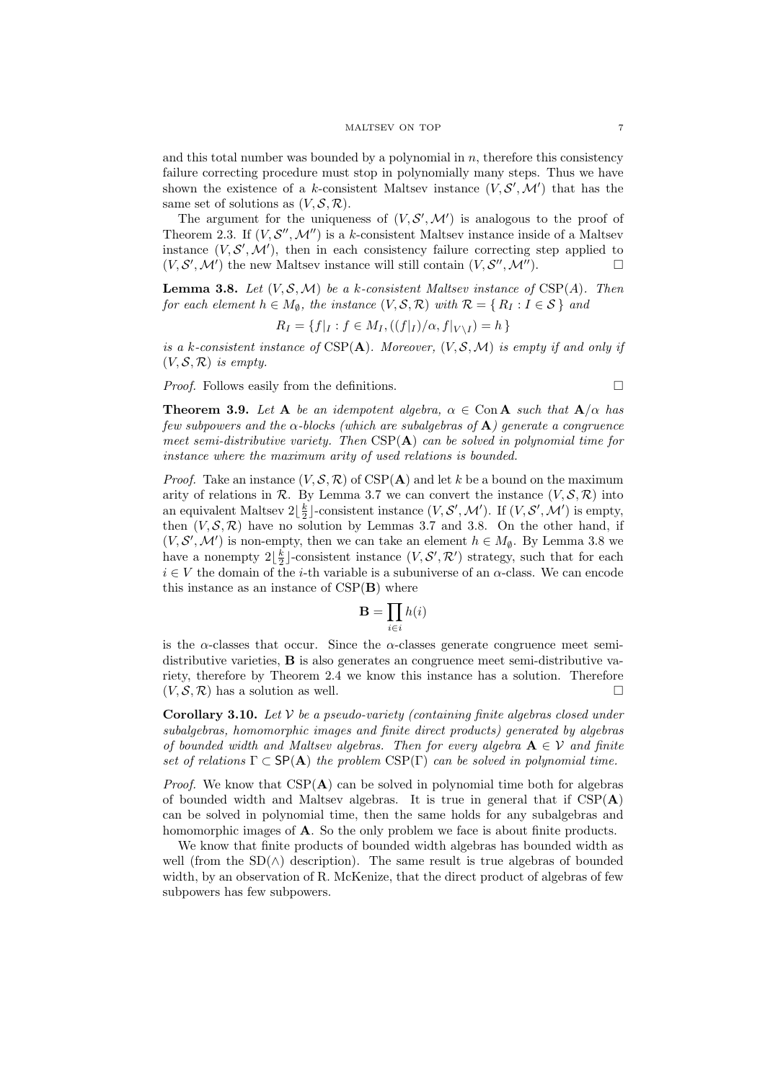and this total number was bounded by a polynomial in  $n$ , therefore this consistency failure correcting procedure must stop in polynomially many steps. Thus we have shown the existence of a k-consistent Maltsev instance  $(V, \mathcal{S}', \mathcal{M}')$  that has the same set of solutions as  $(V, \mathcal{S}, \mathcal{R})$ .

The argument for the uniqueness of  $(V, \mathcal{S}', \mathcal{M}')$  is analogous to the proof of Theorem 2.3. If  $(V, \mathcal{S}'', \mathcal{M}'')$  is a k-consistent Maltsev instance inside of a Maltsev instance  $(V, S', M')$ , then in each consistency failure correcting step applied to  $(V, \mathcal{S}', \mathcal{M}')$  the new Maltsev instance will still contain  $(V, \mathcal{S}'', \mathcal{M}'')$ .

**Lemma 3.8.** Let  $(V, \mathcal{S}, \mathcal{M})$  be a k-consistent Maltsev instance of CSP(A). Then for each element  $h \in M_{\emptyset}$ , the instance  $(V, \mathcal{S}, \mathcal{R})$  with  $\mathcal{R} = \{ R_I : I \in \mathcal{S} \}$  and

$$
R_I = \{ f|_I : f \in M_I, ((f|_I)/\alpha, f|_{V \setminus I}) = h \}
$$

is a k-consistent instance of  $CSP(A)$ . Moreover,  $(V, \mathcal{S}, \mathcal{M})$  is empty if and only if  $(V, \mathcal{S}, \mathcal{R})$  is empty.

*Proof.* Follows easily from the definitions.  $\Box$ 

**Theorem 3.9.** Let A be an idempotent algebra,  $\alpha \in \text{Con } A$  such that  $A/\alpha$  has few subpowers and the  $\alpha$ -blocks (which are subalgebras of A) generate a congruence meet semi-distributive variety. Then  $CSP(A)$  can be solved in polynomial time for instance where the maximum arity of used relations is bounded.

*Proof.* Take an instance  $(V, S, \mathcal{R})$  of CSP(A) and let k be a bound on the maximum arity of relations in R. By Lemma 3.7 we can convert the instance  $(V, \mathcal{S}, \mathcal{R})$  into an equivalent Maltsev  $2\lfloor \frac{k}{2} \rfloor$ -consistent instance  $(V, \mathcal{S}', \mathcal{M}')$ . If  $(V, \mathcal{S}', \mathcal{M}')$  is empty, then  $(V, \mathcal{S}, \mathcal{R})$  have no solution by Lemmas 3.7 and 3.8. On the other hand, if  $(V, \mathcal{S}', \mathcal{M}')$  is non-empty, then we can take an element  $h \in M_{\emptyset}$ . By Lemma 3.8 we have a nonempty  $2\lfloor \frac{k}{2} \rfloor$ -consistent instance  $(V, \mathcal{S}', \mathcal{R}')$  strategy, such that for each  $i \in V$  the domain of the *i*-th variable is a subuniverse of an  $\alpha$ -class. We can encode this instance as an instance of  $CSP(B)$  where

$$
\mathbf{B} = \prod_{i \in i} h(i)
$$

is the  $\alpha$ -classes that occur. Since the  $\alpha$ -classes generate congruence meet semidistributive varieties, B is also generates an congruence meet semi-distributive variety, therefore by Theorem 2.4 we know this instance has a solution. Therefore  $(V, \mathcal{S}, \mathcal{R})$  has a solution as well.

**Corollary 3.10.** Let  $V$  be a pseudo-variety (containing finite algebras closed under subalgebras, homomorphic images and finite direct products) generated by algebras of bounded width and Maltsev algebras. Then for every algebra  $A \in V$  and finite set of relations  $\Gamma \subset \mathsf{SP}(\mathbf{A})$  the problem  $\mathrm{CSP}(\Gamma)$  can be solved in polynomial time.

*Proof.* We know that  $CSP(A)$  can be solved in polynomial time both for algebras of bounded width and Maltsev algebras. It is true in general that if  $CSP(A)$ can be solved in polynomial time, then the same holds for any subalgebras and homomorphic images of **A**. So the only problem we face is about finite products.

We know that finite products of bounded width algebras has bounded width as well (from the  $SD(\wedge)$  description). The same result is true algebras of bounded width, by an observation of R. McKenize, that the direct product of algebras of few subpowers has few subpowers.